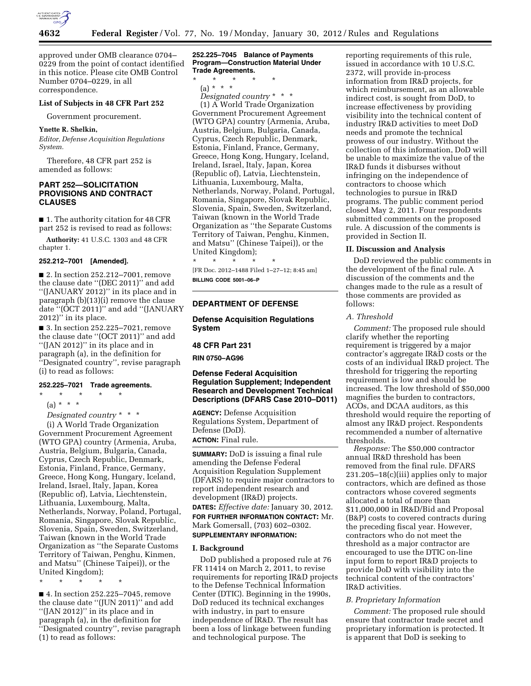

approved under OMB clearance 0704– 0229 from the point of contact identified in this notice. Please cite OMB Control Number 0704–0229, in all correspondence.

# **List of Subjects in 48 CFR Part 252**

Government procurement.

#### **Ynette R. Shelkin,**

*Editor, Defense Acquisition Regulations System.* 

Therefore, 48 CFR part 252 is amended as follows:

# **PART 252—SOLICITATION PROVISIONS AND CONTRACT CLAUSES**

■ 1. The authority citation for 48 CFR part 252 is revised to read as follows:

**Authority:** 41 U.S.C. 1303 and 48 CFR chapter 1.

#### **252.212–7001 [Amended].**

■ 2. In section 252.212–7001, remove the clause date ''(DEC 2011)'' and add ''(JANUARY 2012)'' in its place and in paragraph (b)(13)(i) remove the clause date ''(OCT 2011)'' and add ''(JANUARY 2012)'' in its place.

■ 3. In section 252.225-7021, remove the clause date ''(OCT 2011)'' and add ''(JAN 2012)'' in its place and in paragraph (a), in the definition for ''Designated country'', revise paragraph (i) to read as follows:

# **252.225–7021 Trade agreements.**

(a) \* \* \*

 $\star$   $\qquad$   $\star$   $\qquad$   $\star$ 

*Designated country* \* \* \*

(i) A World Trade Organization Government Procurement Agreement (WTO GPA) country (Armenia, Aruba, Austria, Belgium, Bulgaria, Canada, Cyprus, Czech Republic, Denmark, Estonia, Finland, France, Germany, Greece, Hong Kong, Hungary, Iceland, Ireland, Israel, Italy, Japan, Korea (Republic of), Latvia, Liechtenstein, Lithuania, Luxembourg, Malta, Netherlands, Norway, Poland, Portugal, Romania, Singapore, Slovak Republic, Slovenia, Spain, Sweden, Switzerland, Taiwan (known in the World Trade Organization as ''the Separate Customs Territory of Taiwan, Penghu, Kinmen, and Matsu'' (Chinese Taipei)), or the United Kingdom);

\* \* \* \* \*

■ 4. In section 252.225-7045, remove the clause date ''(JUN 2011)'' and add ''(JAN 2012)'' in its place and in paragraph (a), in the definition for ''Designated country'', revise paragraph (1) to read as follows:

#### **252.225–7045 Balance of Payments Program—Construction Material Under Trade Agreements.**

\* \* \* \* \*

(a) \* \* \*

*Designated country* \* \* \* (1) A World Trade Organization Government Procurement Agreement (WTO GPA) country (Armenia, Aruba, Austria, Belgium, Bulgaria, Canada, Cyprus, Czech Republic, Denmark, Estonia, Finland, France, Germany, Greece, Hong Kong, Hungary, Iceland, Ireland, Israel, Italy, Japan, Korea (Republic of), Latvia, Liechtenstein, Lithuania, Luxembourg, Malta, Netherlands, Norway, Poland, Portugal, Romania, Singapore, Slovak Republic, Slovenia, Spain, Sweden, Switzerland, Taiwan (known in the World Trade Organization as ''the Separate Customs Territory of Taiwan, Penghu, Kinmen, and Matsu'' (Chinese Taipei)), or the United Kingdom);

\* \* \* \* \* [FR Doc. 2012–1488 Filed 1–27–12; 8:45 am] **BILLING CODE 5001–06–P** 

# **DEPARTMENT OF DEFENSE**

**Defense Acquisition Regulations System** 

#### **48 CFR Part 231**

**RIN 0750–AG96** 

# **Defense Federal Acquisition Regulation Supplement; Independent Research and Development Technical Descriptions (DFARS Case 2010–D011)**

**AGENCY:** Defense Acquisition Regulations System, Department of Defense (DoD). **ACTION:** Final rule.

**SUMMARY:** DoD is issuing a final rule amending the Defense Federal Acquisition Regulation Supplement (DFARS) to require major contractors to report independent research and development (IR&D) projects. **DATES:** *Effective date:* January 30, 2012. **FOR FURTHER INFORMATION CONTACT:** Mr. Mark Gomersall, (703) 602–0302. **SUPPLEMENTARY INFORMATION:** 

#### **I. Background**

DoD published a proposed rule at 76 FR 11414 on March 2, 2011, to revise requirements for reporting IR&D projects to the Defense Technical Information Center (DTIC). Beginning in the 1990s, DoD reduced its technical exchanges with industry, in part to ensure independence of IR&D. The result has been a loss of linkage between funding and technological purpose. The

reporting requirements of this rule, issued in accordance with 10 U.S.C. 2372, will provide in-process information from IR&D projects, for which reimbursement, as an allowable indirect cost, is sought from DoD, to increase effectiveness by providing visibility into the technical content of industry IR&D activities to meet DoD needs and promote the technical prowess of our industry. Without the collection of this information, DoD will be unable to maximize the value of the IR&D funds it disburses without infringing on the independence of contractors to choose which technologies to pursue in IR&D programs. The public comment period closed May 2, 2011. Four respondents submitted comments on the proposed rule. A discussion of the comments is provided in Section II.

#### **II. Discussion and Analysis**

DoD reviewed the public comments in the development of the final rule. A discussion of the comments and the changes made to the rule as a result of those comments are provided as follows:

# *A. Threshold*

*Comment:* The proposed rule should clarify whether the reporting requirement is triggered by a major contractor's aggregate IR&D costs or the costs of an individual IR&D project. The threshold for triggering the reporting requirement is low and should be increased. The low threshold of \$50,000 magnifies the burden to contractors, ACOs, and DCAA auditors, as this threshold would require the reporting of almost any IR&D project. Respondents recommended a number of alternative thresholds.

*Response:* The \$50,000 contractor annual IR&D threshold has been removed from the final rule. DFARS 231.205–18(c)(iii) applies only to major contractors, which are defined as those contractors whose covered segments allocated a total of more than \$11,000,000 in IR&D/Bid and Proposal (B&P) costs to covered contracts during the preceding fiscal year. However, contractors who do not meet the threshold as a major contractor are encouraged to use the DTIC on-line input form to report IR&D projects to provide DoD with visibility into the technical content of the contractors' IR&D activities.

#### *B. Proprietary Information*

*Comment:* The proposed rule should ensure that contractor trade secret and proprietary information is protected. It is apparent that DoD is seeking to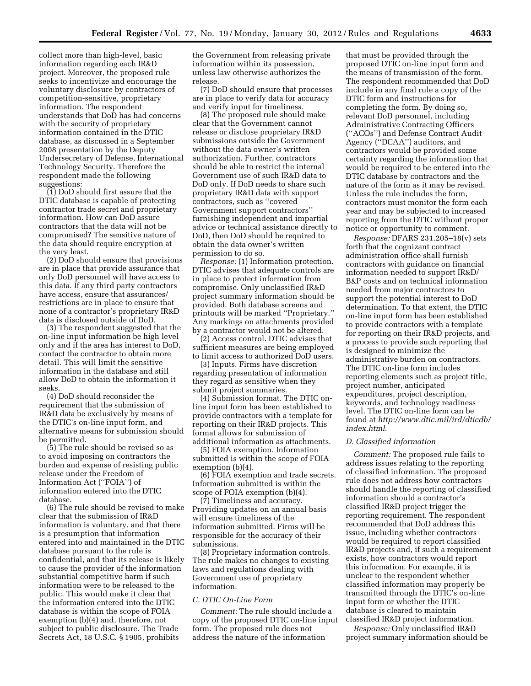collect more than high-level, basic information regarding each IR&D project. Moreover, the proposed rule seeks to incentivize and encourage the voluntary disclosure by contractors of competition-sensitive, proprietary information. The respondent understands that DoD has had concerns with the security of proprietary information contained in the DTIC database, as discussed in a September 2008 presentation by the Deputy Undersecretary of Defense, International Technology Security. Therefore the respondent made the following suggestions:

(1) DoD should first assure that the DTIC database is capable of protecting contractor trade secret and proprietary information. How can DoD assure contractors that the data will not be compromised? The sensitive nature of the data should require encryption at the very least.

(2) DoD should ensure that provisions are in place that provide assurance that only DoD personnel will have access to this data. If any third party contractors have access, ensure that assurances/ restrictions are in place to ensure that none of a contractor's proprietary IR&D data is disclosed outside of DoD.

(3) The respondent suggested that the on-line input information be high level only and if the area has interest to DoD, contact the contractor to obtain more detail. This will limit the sensitive information in the database and still allow DoD to obtain the information it seeks.

(4) DoD should reconsider the requirement that the submission of IR&D data be exclusively by means of the DTIC's on-line input form, and alternative means for submission should be permitted.

(5) The rule should be revised so as to avoid imposing on contractors the burden and expense of resisting public release under the Freedom of Information Act (''FOIA'') of information entered into the DTIC database.

(6) The rule should be revised to make clear that the submission of IR&D information is voluntary, and that there is a presumption that information entered into and maintained in the DTIC database pursuant to the rule is confidential, and that its release is likely to cause the provider of the information substantial competitive harm if such information were to be released to the public. This would make it clear that the information entered into the DTIC database is within the scope of FOIA exemption (b)(4) and, therefore, not subject to public disclosure. The Trade Secrets Act, 18 U.S.C. § 1905, prohibits

the Government from releasing private information within its possession, unless law otherwise authorizes the release.

(7) DoD should ensure that processes are in place to verify data for accuracy and verify input for timeliness.

(8) The proposed rule should make clear that the Government cannot release or disclose proprietary IR&D submissions outside the Government without the data owner's written authorization. Further, contractors should be able to restrict the internal Government use of such IR&D data to DoD only. If DoD needs to share such proprietary IR&D data with support contractors, such as ''covered Government support contractors'' furnishing independent and impartial advice or technical assistance directly to DoD, then DoD should be required to obtain the data owner's written permission to do so.

*Response:* (1) Information protection. DTIC advises that adequate controls are in place to protect information from compromise. Only unclassified IR&D project summary information should be provided. Both database screens and printouts will be marked ''Proprietary.'' Any markings on attachments provided by a contractor would not be altered.

(2) Access control. DTIC advises that sufficient measures are being employed to limit access to authorized DoD users.

(3) Inputs. Firms have discretion regarding presentation of information they regard as sensitive when they submit project summaries.

(4) Submission format. The DTIC online input form has been established to provide contractors with a template for reporting on their IR&D projects. This format allows for submission of additional information as attachments.

(5) FOIA exemption. Information submitted is within the scope of FOIA exemption (b)(4).

(6) FOIA exemption and trade secrets. Information submitted is within the scope of FOIA exemption (b)(4).

(7) Timeliness and accuracy. Providing updates on an annual basis will ensure timeliness of the information submitted. Firms will be responsible for the accuracy of their submissions.

(8) Proprietary information controls. The rule makes no changes to existing laws and regulations dealing with Government use of proprietary information.

## *C. DTIC On-Line Form*

*Comment:* The rule should include a copy of the proposed DTIC on-line input form. The proposed rule does not address the nature of the information

that must be provided through the proposed DTIC on-line input form and the means of transmission of the form. The respondent recommended that DoD include in any final rule a copy of the DTIC form and instructions for completing the form. By doing so, relevant DoD personnel, including Administrative Contracting Officers (''ACOs'') and Defense Contract Audit Agency (''DCAA'') auditors, and contractors would be provided some certainty regarding the information that would be required to be entered into the DTIC database by contractors and the nature of the form as it may be revised. Unless the rule includes the form, contractors must monitor the form each year and may be subjected to increased reporting from the DTIC without proper notice or opportunity to comment.

*Response:* DFARS 231.205–18(v) sets forth that the cognizant contract administration office shall furnish contractors with guidance on financial information needed to support IR&D/ B&P costs and on technical information needed from major contractors to support the potential interest to DoD determination. To that extent, the DTIC on-line input form has been established to provide contractors with a template for reporting on their IR&D projects, and a process to provide such reporting that is designed to minimize the administrative burden on contractors. The DTIC on-line form includes reporting elements such as project title, project number, anticipated expenditures, project description, keywords, and technology readiness level. The DTIC on-line form can be found at *[http://www.dtic.mil/ird/dticdb/](http://www.dtic.mil/ird/dticdb/index.html) [index.html](http://www.dtic.mil/ird/dticdb/index.html)*.

# *D. Classified information*

*Comment:* The proposed rule fails to address issues relating to the reporting of classified information. The proposed rule does not address how contractors should handle the reporting of classified information should a contractor's classified IR&D project trigger the reporting requirement. The respondent recommended that DoD address this issue, including whether contractors would be required to report classified IR&D projects and, if such a requirement exists, how contractors would report this information. For example, it is unclear to the respondent whether classified information may properly be transmitted through the DTIC's on-line input form or whether the DTIC database is cleared to maintain classified IR&D project information.

*Response:* Only unclassified IR&D project summary information should be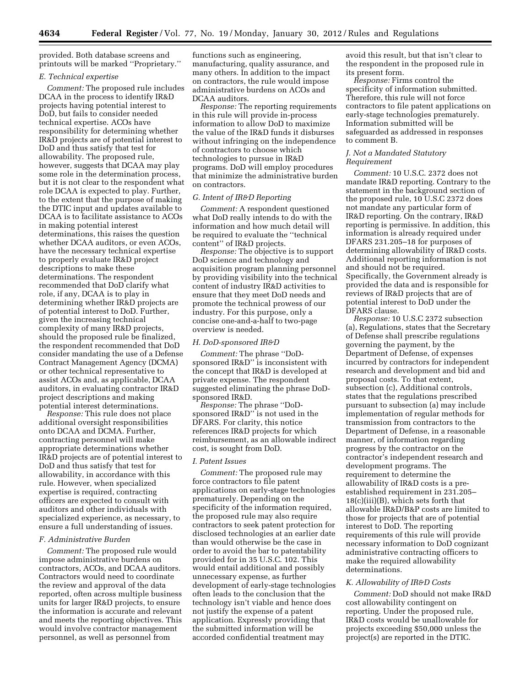provided. Both database screens and printouts will be marked ''Proprietary.''

#### *E. Technical expertise*

*Comment:* The proposed rule includes DCAA in the process to identify IR&D projects having potential interest to DoD, but fails to consider needed technical expertise. ACOs have responsibility for determining whether IR&D projects are of potential interest to DoD and thus satisfy that test for allowability. The proposed rule, however, suggests that DCAA may play some role in the determination process, but it is not clear to the respondent what role DCAA is expected to play. Further, to the extent that the purpose of making the DTIC input and updates available to DCAA is to facilitate assistance to ACOs in making potential interest determinations, this raises the question whether DCAA auditors, or even ACOs, have the necessary technical expertise to properly evaluate IR&D project descriptions to make these determinations. The respondent recommended that DoD clarify what role, if any, DCAA is to play in determining whether IR&D projects are of potential interest to DoD. Further, given the increasing technical complexity of many IR&D projects, should the proposed rule be finalized, the respondent recommended that DoD consider mandating the use of a Defense Contract Management Agency (DCMA) or other technical representative to assist ACOs and, as applicable, DCAA auditors, in evaluating contractor IR&D project descriptions and making potential interest determinations.

*Response:* This rule does not place additional oversight responsibilities onto DCAA and DCMA. Further, contracting personnel will make appropriate determinations whether IR&D projects are of potential interest to DoD and thus satisfy that test for allowability, in accordance with this rule. However, when specialized expertise is required, contracting officers are expected to consult with auditors and other individuals with specialized experience, as necessary, to ensure a full understanding of issues.

#### *F. Administrative Burden*

*Comment:* The proposed rule would impose administrative burdens on contractors, ACOs, and DCAA auditors. Contractors would need to coordinate the review and approval of the data reported, often across multiple business units for larger IR&D projects, to ensure the information is accurate and relevant and meets the reporting objectives. This would involve contractor management personnel, as well as personnel from

functions such as engineering, manufacturing, quality assurance, and many others. In addition to the impact on contractors, the rule would impose administrative burdens on ACOs and DCAA auditors.

*Response:* The reporting requirements in this rule will provide in-process information to allow DoD to maximize the value of the IR&D funds it disburses without infringing on the independence of contractors to choose which technologies to pursue in IR&D programs. DoD will employ procedures that minimize the administrative burden on contractors.

#### *G. Intent of IR&D Reporting*

*Comment:* A respondent questioned what DoD really intends to do with the information and how much detail will be required to evaluate the ''technical content'' of IR&D projects.

*Response:* The objective is to support DoD science and technology and acquisition program planning personnel by providing visibility into the technical content of industry IR&D activities to ensure that they meet DoD needs and promote the technical prowess of our industry. For this purpose, only a concise one-and-a-half to two-page overview is needed.

#### *H. DoD-sponsored IR&D*

*Comment:* The phrase ''DoDsponsored IR&D'' is inconsistent with the concept that IR&D is developed at private expense. The respondent suggested eliminating the phrase DoDsponsored IR&D.

*Response:* The phrase ''DoDsponsored IR&D'' is not used in the DFARS. For clarity, this notice references IR&D projects for which reimbursement, as an allowable indirect cost, is sought from DoD.

# *I. Patent Issues*

*Comment:* The proposed rule may force contractors to file patent applications on early-stage technologies prematurely. Depending on the specificity of the information required, the proposed rule may also require contractors to seek patent protection for disclosed technologies at an earlier date than would otherwise be the case in order to avoid the bar to patentability provided for in 35 U.S.C. 102. This would entail additional and possibly unnecessary expense, as further development of early-stage technologies often leads to the conclusion that the technology isn't viable and hence does not justify the expense of a patent application. Expressly providing that the submitted information will be accorded confidential treatment may

avoid this result, but that isn't clear to the respondent in the proposed rule in its present form.

*Response:* Firms control the specificity of information submitted. Therefore, this rule will not force contractors to file patent applications on early-stage technologies prematurely. Information submitted will be safeguarded as addressed in responses to comment B.

# *J. Not a Mandated Statutory Requirement*

*Comment:* 10 U.S.C. 2372 does not mandate IR&D reporting. Contrary to the statement in the background section of the proposed rule, 10 U.S.C 2372 does not mandate any particular form of IR&D reporting. On the contrary, IR&D reporting is permissive. In addition, this information is already required under DFARS 231.205–18 for purposes of determining allowability of IR&D costs. Additional reporting information is not and should not be required. Specifically, the Government already is provided the data and is responsible for reviews of IR&D projects that are of potential interest to DoD under the DFARS clause.

*Response:* 10 U.S.C 2372 subsection (a), Regulations, states that the Secretary of Defense shall prescribe regulations governing the payment, by the Department of Defense, of expenses incurred by contractors for independent research and development and bid and proposal costs. To that extent, subsection (c), Additional controls, states that the regulations prescribed pursuant to subsection (a) may include implementation of regular methods for transmission from contractors to the Department of Defense, in a reasonable manner, of information regarding progress by the contractor on the contractor's independent research and development programs. The requirement to determine the allowability of IR&D costs is a preestablished requirement in 231.205– 18(c)(iii)(B), which sets forth that allowable IR&D/B&P costs are limited to those for projects that are of potential interest to DoD. The reporting requirements of this rule will provide necessary information to DoD cognizant administrative contracting officers to make the required allowability determinations.

#### *K. Allowability of IR&D Costs*

*Comment:* DoD should not make IR&D cost allowability contingent on reporting. Under the proposed rule, IR&D costs would be unallowable for projects exceeding \$50,000 unless the project(s) are reported in the DTIC.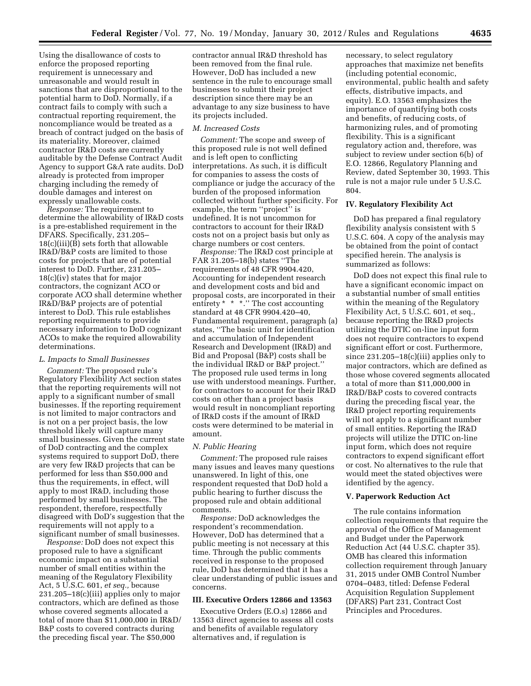Using the disallowance of costs to enforce the proposed reporting requirement is unnecessary and unreasonable and would result in sanctions that are disproportional to the potential harm to DoD. Normally, if a contract fails to comply with such a contractual reporting requirement, the noncompliance would be treated as a breach of contract judged on the basis of its materiality. Moreover, claimed contractor IR&D costs are currently auditable by the Defense Contract Audit Agency to support G&A rate audits. DoD already is protected from improper charging including the remedy of double damages and interest on expressly unallowable costs.

*Response:* The requirement to determine the allowability of IR&D costs is a pre-established requirement in the DFARS. Specifically, 231.205– 18(c)(iii)(B) sets forth that allowable IR&D/B&P costs are limited to those costs for projects that are of potential interest to DoD. Further, 231.205– 18(c)(iv) states that for major contractors, the cognizant ACO or corporate ACO shall determine whether IR&D/B&P projects are of potential interest to DoD. This rule establishes reporting requirements to provide necessary information to DoD cognizant ACOs to make the required allowability determinations.

#### *L. Impacts to Small Businesses*

*Comment:* The proposed rule's Regulatory Flexibility Act section states that the reporting requirements will not apply to a significant number of small businesses. If the reporting requirement is not limited to major contractors and is not on a per project basis, the low threshold likely will capture many small businesses. Given the current state of DoD contracting and the complex systems required to support DoD, there are very few IR&D projects that can be performed for less than \$50,000 and thus the requirements, in effect, will apply to most IR&D, including those performed by small businesses. The respondent, therefore, respectfully disagreed with DoD's suggestion that the requirements will not apply to a significant number of small businesses.

*Response:* DoD does not expect this proposed rule to have a significant economic impact on a substantial number of small entities within the meaning of the Regulatory Flexibility Act, 5 U.S.C. 601, *et seq.,* because 231.205–18(c)(iii) applies only to major contractors, which are defined as those whose covered segments allocated a total of more than \$11,000,000 in IR&D/ B&P costs to covered contracts during the preceding fiscal year. The \$50,000

contractor annual IR&D threshold has been removed from the final rule. However, DoD has included a new sentence in the rule to encourage small businesses to submit their project description since there may be an advantage to any size business to have its projects included.

#### *M. Increased Costs*

*Comment:* The scope and sweep of this proposed rule is not well defined and is left open to conflicting interpretations. As such, it is difficult for companies to assess the costs of compliance or judge the accuracy of the burden of the proposed information collected without further specificity. For example, the term ''project'' is undefined. It is not uncommon for contractors to account for their IR&D costs not on a project basis but only as charge numbers or cost centers.

*Response:* The IR&D cost principle at FAR 31.205–18(b) states ''The requirements of 48 CFR 9904.420, Accounting for independent research and development costs and bid and proposal costs, are incorporated in their entirety \* \* \*.'' The cost accounting standard at 48 CFR 9904.420–40, Fundamental requirement, paragraph (a) states, ''The basic unit for identification and accumulation of Independent Research and Development (IR&D) and Bid and Proposal (B&P) costs shall be the individual IR&D or B&P project.'' The proposed rule used terms in long use with understood meanings. Further, for contractors to account for their IR&D costs on other than a project basis would result in noncompliant reporting of IR&D costs if the amount of IR&D costs were determined to be material in amount.

### *N. Public Hearing*

*Comment:* The proposed rule raises many issues and leaves many questions unanswered. In light of this, one respondent requested that DoD hold a public hearing to further discuss the proposed rule and obtain additional comments.

*Response:* DoD acknowledges the respondent's recommendation. However, DoD has determined that a public meeting is not necessary at this time. Through the public comments received in response to the proposed rule, DoD has determined that it has a clear understanding of public issues and concerns.

# **III. Executive Orders 12866 and 13563**

Executive Orders (E.O.s) 12866 and 13563 direct agencies to assess all costs and benefits of available regulatory alternatives and, if regulation is

necessary, to select regulatory approaches that maximize net benefits (including potential economic, environmental, public health and safety effects, distributive impacts, and equity). E.O. 13563 emphasizes the importance of quantifying both costs and benefits, of reducing costs, of harmonizing rules, and of promoting flexibility. This is a significant regulatory action and, therefore, was subject to review under section 6(b) of E.O. 12866, Regulatory Planning and Review, dated September 30, 1993. This rule is not a major rule under 5 U.S.C. 804.

# **IV. Regulatory Flexibility Act**

DoD has prepared a final regulatory flexibility analysis consistent with 5 U.S.C. 604. A copy of the analysis may be obtained from the point of contact specified herein. The analysis is summarized as follows:

DoD does not expect this final rule to have a significant economic impact on a substantial number of small entities within the meaning of the Regulatory Flexibility Act, 5 U.S.C. 601, et seq., because reporting the IR&D projects utilizing the DTIC on-line input form does not require contractors to expend significant effort or cost. Furthermore, since 231.205–18(c)(iii) applies only to major contractors, which are defined as those whose covered segments allocated a total of more than \$11,000,000 in IR&D/B&P costs to covered contracts during the preceding fiscal year, the IR&D project reporting requirements will not apply to a significant number of small entities. Reporting the IR&D projects will utilize the DTIC on-line input form, which does not require contractors to expend significant effort or cost. No alternatives to the rule that would meet the stated objectives were identified by the agency.

#### **V. Paperwork Reduction Act**

The rule contains information collection requirements that require the approval of the Office of Management and Budget under the Paperwork Reduction Act (44 U.S.C. chapter 35). OMB has cleared this information collection requirement through January 31, 2015 under OMB Control Number 0704–0483, titled: Defense Federal Acquisition Regulation Supplement (DFARS) Part 231, Contract Cost Principles and Procedures.